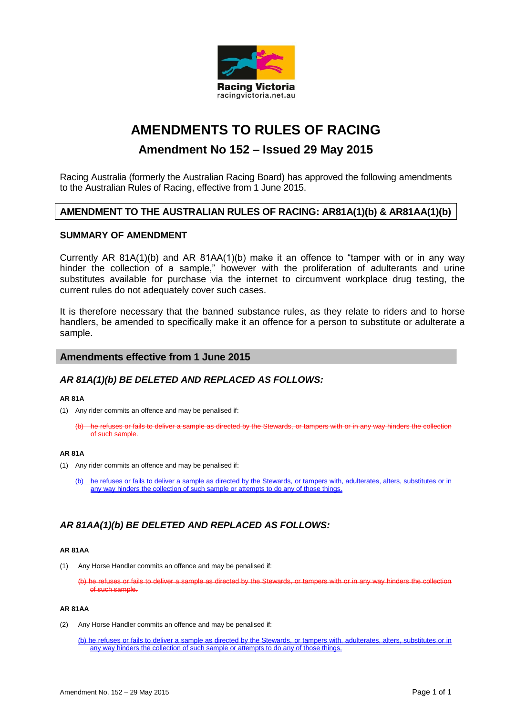

# **AMENDMENTS TO RULES OF RACING**

# **Amendment No 152 – Issued 29 May 2015**

Racing Australia (formerly the Australian Racing Board) has approved the following amendments to the Australian Rules of Racing, effective from 1 June 2015.

# **AMENDMENT TO THE AUSTRALIAN RULES OF RACING: AR81A(1)(b) & AR81AA(1)(b)**

#### **SUMMARY OF AMENDMENT**

Currently AR 81A(1)(b) and AR 81AA(1)(b) make it an offence to "tamper with or in any way hinder the collection of a sample," however with the proliferation of adulterants and urine substitutes available for purchase via the internet to circumvent workplace drug testing, the current rules do not adequately cover such cases.

It is therefore necessary that the banned substance rules, as they relate to riders and to horse handlers, be amended to specifically make it an offence for a person to substitute or adulterate a sample.

#### **Amendments effective from 1 June 2015**

## *AR 81A(1)(b) BE DELETED AND REPLACED AS FOLLOWS:*

#### **AR 81A**

- (1) Any rider commits an offence and may be penalised if:
	- (b) he refuses or fails to deliver a sample as directed by the Stewards, or tampers with or in any way hinders the collection of such sample.

#### **AR 81A**

(1) Any rider commits an offence and may be penalised if:

(b) he refuses or fails to deliver a sample as directed by the Stewards, or tampers with, adulterates, alters, substitutes or in any way hinders the collection of such sample or attempts to do any of those things.

# *AR 81AA(1)(b) BE DELETED AND REPLACED AS FOLLOWS:*

#### **AR 81AA**

(1) Any Horse Handler commits an offence and may be penalised if:

(b) he refuses or fails to deliver a sample as directed by the Stewards, or tampers with or in any way hinders the collection of such sample.

#### **AR 81AA**

- (2) Any Horse Handler commits an offence and may be penalised if:
	- (b) he refuses or fails to deliver a sample as directed by the Stewards, or tampers with, adulterates, alters, substitutes or in any way hinders the collection of such sample or attempts to do any of those things.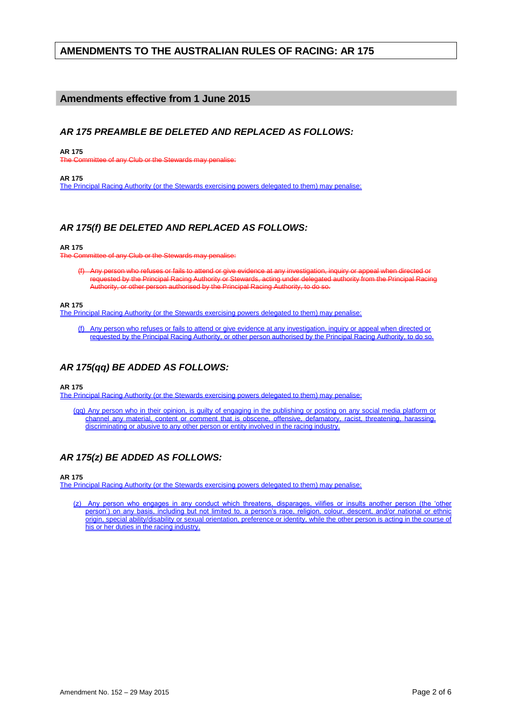# **AMENDMENTS TO THE AUSTRALIAN RULES OF RACING: AR 175**

### **Amendments effective from 1 June 2015**

### *AR 175 PREAMBLE BE DELETED AND REPLACED AS FOLLOWS:*

**AR 175** 

of any Club or the Stewards may penalise:

**AR 175** 

The Principal Racing Authority (or the Stewards exercising powers delegated to them) may penalise:

## *AR 175(f) BE DELETED AND REPLACED AS FOLLOWS:*

#### **AR 175**

mittee of any Club or the Stewards may penalise:

(f) Any person who refuses or fails to attend or give evidence at any investigation, inquiry or appeal when directed o requested by the Principal Racing Authority or Stewards, acting under delegated authority from the Principal Racing Authority, or other person authorised by the Principal Racing Authority, to do so.

#### **AR 175**

The Principal Racing Authority (or the Stewards exercising powers delegated to them) may penalise:

(f) Any person who refuses or fails to attend or give evidence at any investigation, inquiry or appeal when directed or requested by the Principal Racing Authority, or other person authorised by the Principal Racing Authority, to do so.

## *AR 175(qq) BE ADDED AS FOLLOWS:*

**AR 175** 

The Principal Racing Authority (or the Stewards exercising powers delegated to them) may penalise:

(qq) Any person who in their opinion, is guilty of engaging in the publishing or posting on any social media platform or channel any material, content or comment that is obscene, offensive, defamatory, racist, threatening, harassing, discriminating or abusive to any other person or entity involved in the racing industry.

## *AR 175(z) BE ADDED AS FOLLOWS:*

**AR 175** 

The Principal Racing Authority (or the Stewards exercising powers delegated to them) may penalise:

(z) Any person who engages in any conduct which threatens, disparages, vilifies or insults another person (the 'other person') on any basis, including but not limited to, a person's race, religion, colour, descent, and/or national or ethnic origin, special ability/disability or sexual orientation, preference or identity, while the other person is acting in the course of his or her duties in the racing industry.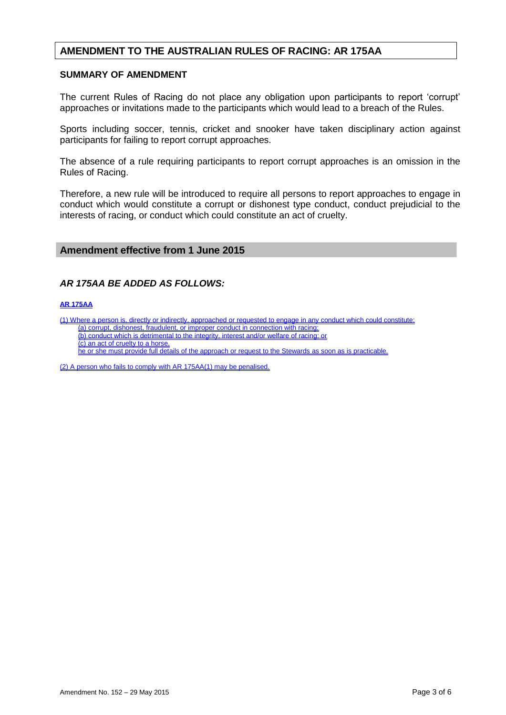# **AMENDMENT TO THE AUSTRALIAN RULES OF RACING: AR 175AA**

#### **SUMMARY OF AMENDMENT**

The current Rules of Racing do not place any obligation upon participants to report 'corrupt' approaches or invitations made to the participants which would lead to a breach of the Rules.

Sports including soccer, tennis, cricket and snooker have taken disciplinary action against participants for failing to report corrupt approaches.

The absence of a rule requiring participants to report corrupt approaches is an omission in the Rules of Racing.

Therefore, a new rule will be introduced to require all persons to report approaches to engage in conduct which would constitute a corrupt or dishonest type conduct, conduct prejudicial to the interests of racing, or conduct which could constitute an act of cruelty.

### **Amendment effective from 1 June 2015**

### *AR 175AA BE ADDED AS FOLLOWS:*

#### **AR 175AA**

(1) Where a person is, directly or indirectly, approached or requested to engage in any conduct which could constitute:

(a) corrupt, dishonest, fraudulent, or improper conduct in connection with racing;

(b) conduct which is detrimental to the integrity, interest and/or welfare of racing; or

(c) an act of cruelty to a horse,

he or she must provide full details of the approach or request to the Stewards as soon as is practicable.

(2) A person who fails to comply with AR 175AA(1) may be penalised.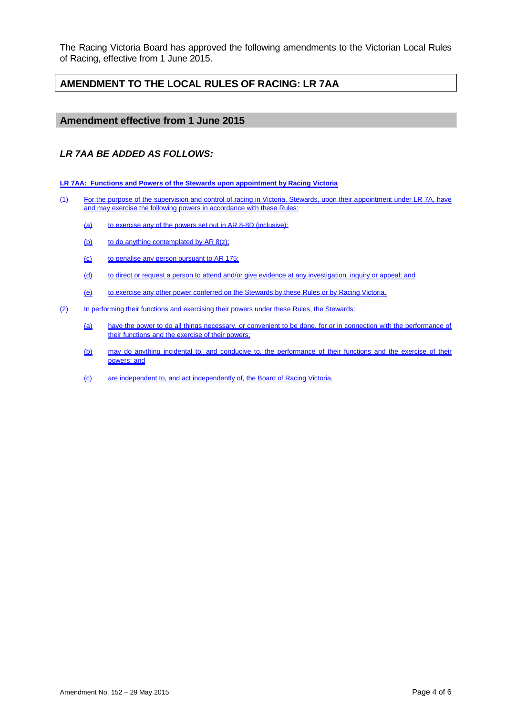The Racing Victoria Board has approved the following amendments to the Victorian Local Rules of Racing, effective from 1 June 2015.

# **AMENDMENT TO THE LOCAL RULES OF RACING: LR 7AA**

### **Amendment effective from 1 June 2015**

### *LR 7AA BE ADDED AS FOLLOWS:*

**LR 7AA: Functions and Powers of the Stewards upon appointment by Racing Victoria**

- (1) For the purpose of the supervision and control of racing in Victoria, Stewards, upon their appointment under LR 7A, have and may exercise the following powers in accordance with these Rules:
	- (a) to exercise any of the powers set out in AR 8-8D (inclusive);
	- (b) to do anything contemplated by AR 8(z);
	- (c) to penalise any person pursuant to AR 175;
	- (d) to direct or request a person to attend and/or give evidence at any investigation, inquiry or appeal; and
	- (e) to exercise any other power conferred on the Stewards by these Rules or by Racing Victoria.
- (2) In performing their functions and exercising their powers under these Rules, the Stewards:
	- (a) have the power to do all things necessary, or convenient to be done, for or in connection with the performance of their functions and the exercise of their powers;
	- (b) may do anything incidental to, and conducive to, the performance of their functions and the exercise of their powers; and
	- (c) are independent to, and act independently of, the Board of Racing Victoria.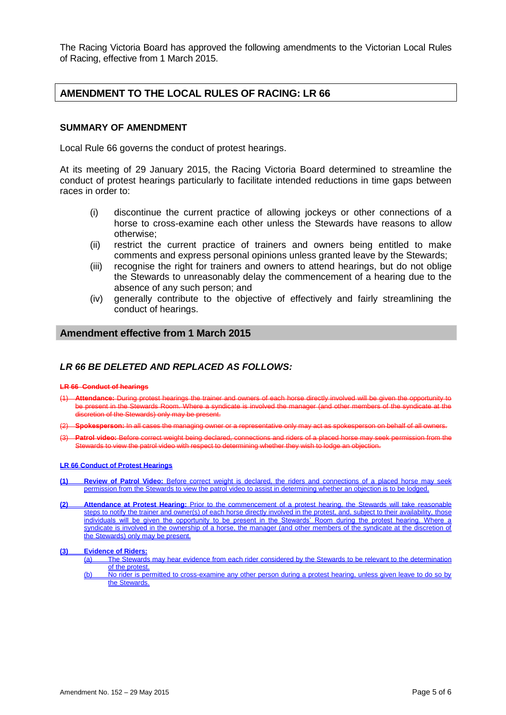The Racing Victoria Board has approved the following amendments to the Victorian Local Rules of Racing, effective from 1 March 2015.

# **AMENDMENT TO THE LOCAL RULES OF RACING: LR 66**

#### **SUMMARY OF AMENDMENT**

Local Rule 66 governs the conduct of protest hearings.

At its meeting of 29 January 2015, the Racing Victoria Board determined to streamline the conduct of protest hearings particularly to facilitate intended reductions in time gaps between races in order to:

- (i) discontinue the current practice of allowing jockeys or other connections of a horse to cross-examine each other unless the Stewards have reasons to allow otherwise;
- (ii) restrict the current practice of trainers and owners being entitled to make comments and express personal opinions unless granted leave by the Stewards;
- (iii) recognise the right for trainers and owners to attend hearings, but do not oblige the Stewards to unreasonably delay the commencement of a hearing due to the absence of any such person; and
- (iv) generally contribute to the objective of effectively and fairly streamlining the conduct of hearings.

#### **Amendment effective from 1 March 2015**

#### *LR 66 BE DELETED AND REPLACED AS FOLLOWS:*

#### **LR 66 Conduct of hearings**

- (1) **Attendance:** During protest hearings the trainer and owners of each horse directly involved will be given the opportunity to be present in the Stewards Room. Where a syndicate is involved the manager (and other members of the syndicate at the discretion of the Stewards) only may be present.
- (2) **Spokesperson:** In all cases the managing owner or a representative only may act as spokesperson on behalf of all owners.
- (3) **Patrol video:** Before correct weight being declared, connections and riders of a placed horse may seek permission from the ards to view the patrol video with respect to determining whether they wish to lodge an objection.

#### **LR 66 Conduct of Protest Hearings**

- **(1) Review of Patrol Video:** Before correct weight is declared, the riders and connections of a placed horse may seek permission from the Stewards to view the patrol video to assist in determining whether an objection is to be lodged.
- **(2) Attendance at Protest Hearing:** Prior to the commencement of a protest hearing, the Stewards will take reasonable steps to notify the trainer and owner(s) of each horse directly involved in the protest, and, subject to their availability, those individuals will be given the opportunity to be present in the Stewards' Room during the protest hearing. Where a syndicate is involved in the ownership of a horse, the manager (and other members of the syndicate at the discretion of the Stewards) only may be present.

#### **(3) Evidence of Riders:**

- (a) The Stewards may hear evidence from each rider considered by the Stewards to be relevant to the determination of the protest.
- (b) No rider is permitted to cross-examine any other person during a protest hearing, unless given leave to do so by the Stewards.